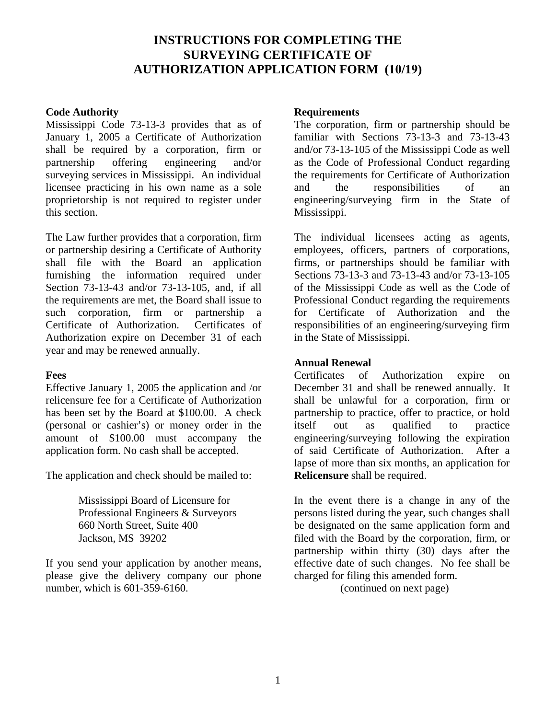# **INSTRUCTIONS FOR COMPLETING THE SURVEYING CERTIFICATE OF AUTHORIZATION APPLICATION FORM (10/19)**

#### **Code Authority**

Mississippi Code 73-13-3 provides that as of January 1, 2005 a Certificate of Authorization shall be required by a corporation, firm or partnership offering engineering and/or surveying services in Mississippi. An individual licensee practicing in his own name as a sole proprietorship is not required to register under this section.

The Law further provides that a corporation, firm or partnership desiring a Certificate of Authority shall file with the Board an application furnishing the information required under Section 73-13-43 and/or 73-13-105, and, if all the requirements are met, the Board shall issue to such corporation, firm or partnership a Certificate of Authorization. Certificates of Authorization expire on December 31 of each year and may be renewed annually.

## **Fees**

Effective January 1, 2005 the application and /or relicensure fee for a Certificate of Authorization has been set by the Board at \$100.00. A check (personal or cashier's) or money order in the amount of \$100.00 must accompany the application form. No cash shall be accepted.

The application and check should be mailed to:

Mississippi Board of Licensure for Professional Engineers & Surveyors 660 North Street, Suite 400 Jackson, MS 39202

If you send your application by another means, please give the delivery company our phone number, which is 601-359-6160.

#### **Requirements**

The corporation, firm or partnership should be familiar with Sections 73-13-3 and 73-13-43 and/or 73-13-105 of the Mississippi Code as well as the Code of Professional Conduct regarding the requirements for Certificate of Authorization and the responsibilities of an engineering/surveying firm in the State of Mississippi.

The individual licensees acting as agents, employees, officers, partners of corporations, firms, or partnerships should be familiar with Sections 73-13-3 and 73-13-43 and/or 73-13-105 of the Mississippi Code as well as the Code of Professional Conduct regarding the requirements for Certificate of Authorization and the responsibilities of an engineering/surveying firm in the State of Mississippi.

## **Annual Renewal**

Certificates of Authorization expire on December 31 and shall be renewed annually. It shall be unlawful for a corporation, firm or partnership to practice, offer to practice, or hold itself out as qualified to practice engineering/surveying following the expiration of said Certificate of Authorization. After a lapse of more than six months, an application for **Relicensure** shall be required.

In the event there is a change in any of the persons listed during the year, such changes shall be designated on the same application form and filed with the Board by the corporation, firm, or partnership within thirty (30) days after the effective date of such changes. No fee shall be charged for filing this amended form.

(continued on next page)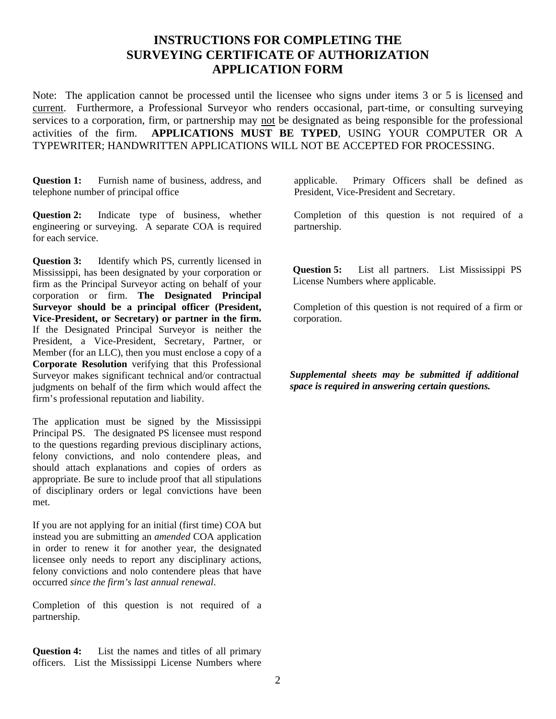## **INSTRUCTIONS FOR COMPLETING THE SURVEYING CERTIFICATE OF AUTHORIZATION APPLICATION FORM**

Note: The application cannot be processed until the licensee who signs under items 3 or 5 is licensed and current. Furthermore, a Professional Surveyor who renders occasional, part-time, or consulting surveying services to a corporation, firm, or partnership may not be designated as being responsible for the professional activities of the firm. **APPLICATIONS MUST BE TYPED**, USING YOUR COMPUTER OR A TYPEWRITER; HANDWRITTEN APPLICATIONS WILL NOT BE ACCEPTED FOR PROCESSING.

**Question 1:** Furnish name of business, address, and telephone number of principal office

**Question 2:** Indicate type of business, whether engineering or surveying. A separate COA is required for each service.

**Question 3:** Identify which PS, currently licensed in Mississippi, has been designated by your corporation or firm as the Principal Surveyor acting on behalf of your corporation or firm. **The Designated Principal Surveyor should be a principal officer (President, Vice-President, or Secretary) or partner in the firm.** If the Designated Principal Surveyor is neither the President, a Vice-President, Secretary, Partner, or Member (for an LLC), then you must enclose a copy of a **Corporate Resolution** verifying that this Professional Surveyor makes significant technical and/or contractual judgments on behalf of the firm which would affect the firm's professional reputation and liability.

The application must be signed by the Mississippi Principal PS. The designated PS licensee must respond to the questions regarding previous disciplinary actions, felony convictions, and nolo contendere pleas, and should attach explanations and copies of orders as appropriate. Be sure to include proof that all stipulations of disciplinary orders or legal convictions have been met.

If you are not applying for an initial (first time) COA but instead you are submitting an *amended* COA application in order to renew it for another year, the designated licensee only needs to report any disciplinary actions, felony convictions and nolo contendere pleas that have occurred *since the firm's last annual renewal*.

Completion of this question is not required of a partnership.

**Question 4:** List the names and titles of all primary officers. List the Mississippi License Numbers where applicable. Primary Officers shall be defined as President, Vice-President and Secretary.

Completion of this question is not required of a partnership.

**Question 5:** List all partners. List Mississippi PS License Numbers where applicable.

Completion of this question is not required of a firm or corporation.

*Supplemental sheets may be submitted if additional space is required in answering certain questions.*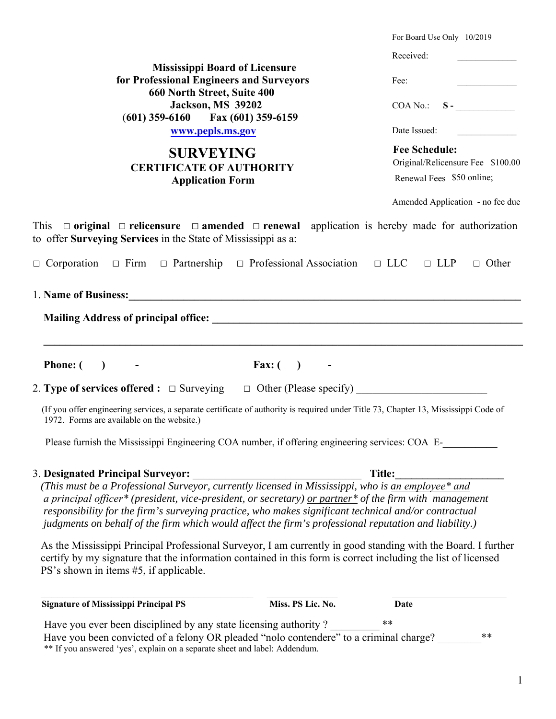|                                                                                                                                                                                                                                                                          | For Board Use Only 10/2019                                                                                                                                                                                                                                                                                                                                                                                                               |
|--------------------------------------------------------------------------------------------------------------------------------------------------------------------------------------------------------------------------------------------------------------------------|------------------------------------------------------------------------------------------------------------------------------------------------------------------------------------------------------------------------------------------------------------------------------------------------------------------------------------------------------------------------------------------------------------------------------------------|
|                                                                                                                                                                                                                                                                          | Received:                                                                                                                                                                                                                                                                                                                                                                                                                                |
| <b>Mississippi Board of Licensure</b>                                                                                                                                                                                                                                    |                                                                                                                                                                                                                                                                                                                                                                                                                                          |
| for Professional Engineers and Surveyors<br>660 North Street, Suite 400<br><b>Jackson, MS 39202</b><br>$(601)$ 359-6160 Fax $(601)$ 359-6159<br>www.pepls.ms.gov                                                                                                         | Fee:<br>$\label{eq:2.1} \frac{1}{\sqrt{2\pi}}\int_{\mathbb{R}^3}\left \frac{d\mathbf{r}}{d\mathbf{r}}\right ^2\left \frac{d\mathbf{r}}{d\mathbf{r}}\right ^2\left \frac{d\mathbf{r}}{d\mathbf{r}}\right ^2\left \frac{d\mathbf{r}}{d\mathbf{r}}\right ^2\left \frac{d\mathbf{r}}{d\mathbf{r}}\right ^2\left \frac{d\mathbf{r}}{d\mathbf{r}}\right ^2\left \frac{d\mathbf{r}}{d\mathbf{r}}\right ^2\left \frac{d\mathbf{r}}{d\mathbf{r}}$ |
|                                                                                                                                                                                                                                                                          | COA No.: S                                                                                                                                                                                                                                                                                                                                                                                                                               |
|                                                                                                                                                                                                                                                                          | Date Issued:                                                                                                                                                                                                                                                                                                                                                                                                                             |
| <b>SURVEYING</b><br><b>CERTIFICATE OF AUTHORITY</b><br><b>Application Form</b>                                                                                                                                                                                           | <b>Fee Schedule:</b><br>Original/Relicensure Fee \$100.00<br>Renewal Fees \$50 online;                                                                                                                                                                                                                                                                                                                                                   |
|                                                                                                                                                                                                                                                                          | Amended Application - no fee due                                                                                                                                                                                                                                                                                                                                                                                                         |
| This $\Box$ original $\Box$ relicensure $\Box$ amended $\Box$ renewal application is hereby made for authorization<br>to offer Surveying Services in the State of Mississippi as a:                                                                                      |                                                                                                                                                                                                                                                                                                                                                                                                                                          |
| $\Box$ Corporation $\Box$ Firm $\Box$ Partnership $\Box$ Professional Association $\Box$ LLC $\Box$ LLP $\Box$ Other                                                                                                                                                     |                                                                                                                                                                                                                                                                                                                                                                                                                                          |
| 1. Name of Business: 1. 2008. The Contract of Business: 2. 2008. The Contract of Business: 2. 2008. The Contract of Business: 2. 2008. The Contract of Business: 2. 2008. The Contract of Business: 2. 2008. The Contract of B                                           |                                                                                                                                                                                                                                                                                                                                                                                                                                          |
|                                                                                                                                                                                                                                                                          |                                                                                                                                                                                                                                                                                                                                                                                                                                          |
|                                                                                                                                                                                                                                                                          |                                                                                                                                                                                                                                                                                                                                                                                                                                          |
|                                                                                                                                                                                                                                                                          |                                                                                                                                                                                                                                                                                                                                                                                                                                          |
| Phone: $($ ) -<br>Fax: $( )$<br>$\sim 100$ km s $^{-1}$                                                                                                                                                                                                                  |                                                                                                                                                                                                                                                                                                                                                                                                                                          |
|                                                                                                                                                                                                                                                                          |                                                                                                                                                                                                                                                                                                                                                                                                                                          |
| (If you offer engineering services, a separate certificate of authority is required under Title 73, Chapter 13, Mississippi Code of<br>1972. Forms are available on the website.)                                                                                        |                                                                                                                                                                                                                                                                                                                                                                                                                                          |
| Please furnish the Mississippi Engineering COA number, if offering engineering services: COA E-                                                                                                                                                                          |                                                                                                                                                                                                                                                                                                                                                                                                                                          |
|                                                                                                                                                                                                                                                                          |                                                                                                                                                                                                                                                                                                                                                                                                                                          |
| <b>3. Designated Principal Surveyor:</b>                                                                                                                                                                                                                                 | Title:                                                                                                                                                                                                                                                                                                                                                                                                                                   |
| a principal officer* (president, vice-president, or secretary) or partner* of the firm with management                                                                                                                                                                   |                                                                                                                                                                                                                                                                                                                                                                                                                                          |
| responsibility for the firm's surveying practice, who makes significant technical and/or contractual                                                                                                                                                                     |                                                                                                                                                                                                                                                                                                                                                                                                                                          |
| judgments on behalf of the firm which would affect the firm's professional reputation and liability.)                                                                                                                                                                    |                                                                                                                                                                                                                                                                                                                                                                                                                                          |
| As the Mississippi Principal Professional Surveyor, I am currently in good standing with the Board. I further<br>certify by my signature that the information contained in this form is correct including the list of licensed<br>PS's shown in items #5, if applicable. |                                                                                                                                                                                                                                                                                                                                                                                                                                          |
| Miss. PS Lic. No.<br><b>Signature of Mississippi Principal PS</b>                                                                                                                                                                                                        | <b>Date</b>                                                                                                                                                                                                                                                                                                                                                                                                                              |
| Have you ever been disciplined by any state licensing authority?                                                                                                                                                                                                         | $***$                                                                                                                                                                                                                                                                                                                                                                                                                                    |
| Have you been convicted of a felony OR pleaded "nolo contendere" to a criminal charge?<br>** If you answered 'yes', explain on a separate sheet and label: Addendum.                                                                                                     | **                                                                                                                                                                                                                                                                                                                                                                                                                                       |

<sup>1</sup>